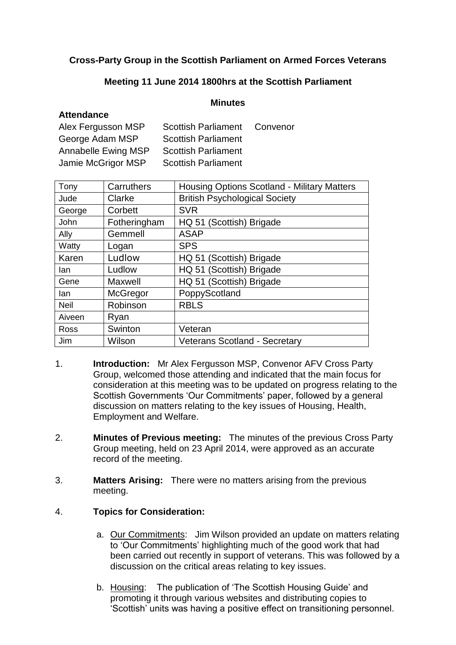# **Cross-Party Group in the Scottish Parliament on Armed Forces Veterans**

# **Meeting 11 June 2014 1800hrs at the Scottish Parliament**

#### **Minutes**

## **Attendance**

| Alex Fergusson MSP  | <b>Scottish Parliament</b> | Convenor |
|---------------------|----------------------------|----------|
| George Adam MSP     | <b>Scottish Parliament</b> |          |
| Annabelle Ewing MSP | <b>Scottish Parliament</b> |          |
| Jamie McGrigor MSP  | <b>Scottish Parliament</b> |          |

| Carruthers   | <b>Housing Options Scotland - Military Matters</b> |  |
|--------------|----------------------------------------------------|--|
| Clarke       | <b>British Psychological Society</b>               |  |
| Corbett      | <b>SVR</b>                                         |  |
| Fotheringham | HQ 51 (Scottish) Brigade                           |  |
| Gemmell      | <b>ASAP</b>                                        |  |
| Logan        | <b>SPS</b>                                         |  |
| Ludlow       | HQ 51 (Scottish) Brigade                           |  |
| Ludlow       | HQ 51 (Scottish) Brigade                           |  |
| Maxwell      | HQ 51 (Scottish) Brigade                           |  |
| McGregor     | PoppyScotland                                      |  |
| Robinson     | <b>RBLS</b>                                        |  |
| Ryan         |                                                    |  |
| Swinton      | Veteran                                            |  |
| Wilson       | <b>Veterans Scotland - Secretary</b>               |  |
|              |                                                    |  |

- 1. **Introduction:** Mr Alex Fergusson MSP, Convenor AFV Cross Party Group, welcomed those attending and indicated that the main focus for consideration at this meeting was to be updated on progress relating to the Scottish Governments 'Our Commitments' paper, followed by a general discussion on matters relating to the key issues of Housing, Health, Employment and Welfare.
- 2. **Minutes of Previous meeting:** The minutes of the previous Cross Party Group meeting, held on 23 April 2014, were approved as an accurate record of the meeting.
- 3. **Matters Arising:** There were no matters arising from the previous meeting.

## 4. **Topics for Consideration:**

- a. Our Commitments: Jim Wilson provided an update on matters relating to 'Our Commitments' highlighting much of the good work that had been carried out recently in support of veterans. This was followed by a discussion on the critical areas relating to key issues.
- b. Housing: The publication of 'The Scottish Housing Guide' and promoting it through various websites and distributing copies to 'Scottish' units was having a positive effect on transitioning personnel.